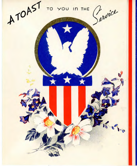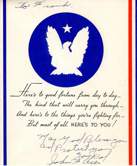To Frank. M Here's to good fortune from day to day-The kind that will carry you through and here's to the things you're fighting for-But most of all HERE'S TO YOU! May 4 od Bless go In & acer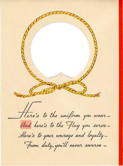There's to the uniform you wear-And here's to the Flag you serve-Here's to your courage and loyalty-From duty, you'll never swerve -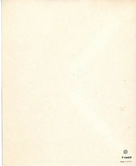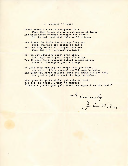## A FAREWELL TO FRANK

There comes a time in everyones life, When they leave the worn out apron strings; And walk alone through struggle and strife, To the only end that this world brings.

Now Frank! he broke the strings long ago While washing the dishes he hates; But the army makes all forget this woe When the K.P. sargeant dictates.

If you get stubborn about army life, And fight with your tough old sarge, You'll soon find yourself behind locked doors, Where **a** furlough's just a mirage.

So just keep singing the songs that you know, And sure, it's a general you'll soon be made, And your old sarge salutes, when you tread his pet toe, And you're paid to send the Japs to **hades.** 

This poem is quite silly, yet only in just. You see, in words, I want to express: "You're a pretty good pal, Frank, dar-gon-it -- the best!"

Sincerely<br>John F. acc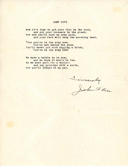## ARMY LIFE

Now it's time to put your ties on the rack, And put your trousers to the pleat; For now you'll have an army pack, And your feet will keep the marching beat.

"For you're in the army now; You're not behind the plow. You'll never get rich digging a ditch, You're in the army now!

We have a battle to be won; And we know it won't be fun. So we must part for a while-- And say good-bye with a smile, For you'll always be my pal.

Sincerely<br>John Flee.